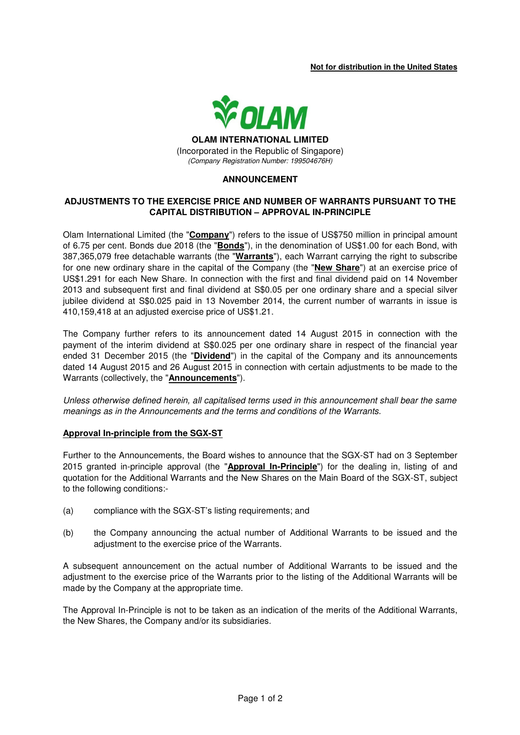### **Not for distribution in the United States**



(Incorporated in the Republic of Singapore) (Company Registration Number: 199504676H)

### **ANNOUNCEMENT**

### **ADJUSTMENTS TO THE EXERCISE PRICE AND NUMBER OF WARRANTS PURSUANT TO THE CAPITAL DISTRIBUTION – APPROVAL IN-PRINCIPLE**

Olam International Limited (the "**Company**") refers to the issue of US\$750 million in principal amount of 6.75 per cent. Bonds due 2018 (the "**Bonds**"), in the denomination of US\$1.00 for each Bond, with 387,365,079 free detachable warrants (the "**Warrants**"), each Warrant carrying the right to subscribe for one new ordinary share in the capital of the Company (the "**New Share**") at an exercise price of US\$1.291 for each New Share. In connection with the first and final dividend paid on 14 November 2013 and subsequent first and final dividend at S\$0.05 per one ordinary share and a special silver jubilee dividend at S\$0.025 paid in 13 November 2014, the current number of warrants in issue is 410,159,418 at an adjusted exercise price of US\$1.21.

The Company further refers to its announcement dated 14 August 2015 in connection with the payment of the interim dividend at S\$0.025 per one ordinary share in respect of the financial year ended 31 December 2015 (the "**Dividend**") in the capital of the Company and its announcements dated 14 August 2015 and 26 August 2015 in connection with certain adjustments to be made to the Warrants (collectively, the "**Announcements**").

Unless otherwise defined herein, all capitalised terms used in this announcement shall bear the same meanings as in the Announcements and the terms and conditions of the Warrants.

#### **Approval In-principle from the SGX-ST**

Further to the Announcements, the Board wishes to announce that the SGX-ST had on 3 September 2015 granted in-principle approval (the "**Approval In-Principle**") for the dealing in, listing of and quotation for the Additional Warrants and the New Shares on the Main Board of the SGX-ST, subject to the following conditions:-

- (a) compliance with the SGX-ST's listing requirements; and
- (b) the Company announcing the actual number of Additional Warrants to be issued and the adjustment to the exercise price of the Warrants.

A subsequent announcement on the actual number of Additional Warrants to be issued and the adjustment to the exercise price of the Warrants prior to the listing of the Additional Warrants will be made by the Company at the appropriate time.

The Approval In-Principle is not to be taken as an indication of the merits of the Additional Warrants, the New Shares, the Company and/or its subsidiaries.